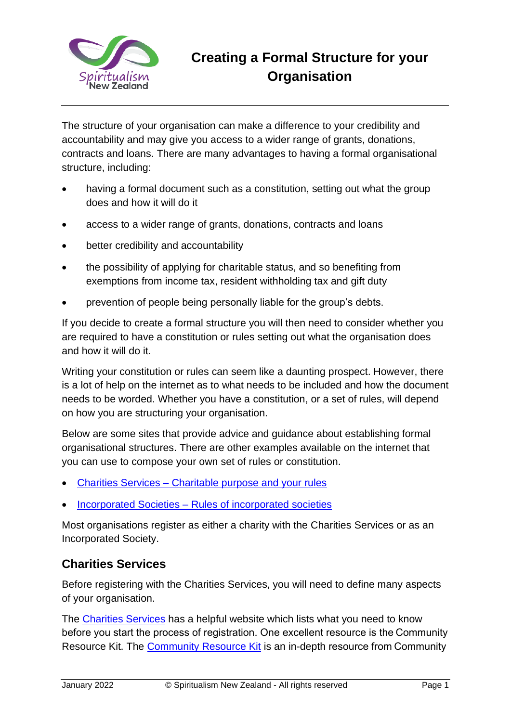

## **Creating a Formal Structure for your Organisation**

The structure of your organisation can make a difference to your credibility and accountability and may give you access to a wider range of grants, donations, contracts and loans. There are many advantages to having a formal organisational structure, including:

- having a formal document such as a constitution, setting out what the group does and how it will do it
- access to a wider range of grants, donations, contracts and loans
- better credibility and accountability
- the possibility of applying for charitable status, and so benefiting from exemptions from income tax, resident withholding tax and gift duty
- prevention of people being personally liable for the group's debts.

If you decide to create a formal structure you will then need to consider whether you are required to have a constitution or rules setting out what the organisation does and how it will do it.

Writing your constitution or rules can seem like a daunting prospect. However, there is a lot of help on the internet as to what needs to be included and how the document needs to be worded. Whether you have a constitution, or a set of rules, will depend on how you are structuring your organisation.

Below are some sites that provide advice and guidance about establishing formal organisational structures. There are other examples available on the internet that you can use to compose your own set of rules or constitution.

- Charities Services [Charitable purpose and your rules](https://www.charities.govt.nz/ready-to-register/need-to-know-to-register/charitable-purpose-and-your-rules/)
- Incorporated Societies [Rules of incorporated societies](http://communitytoolkit.org.nz/choosing-the-right-legal-structure-for-your-group/incorporated-societies/)

Most organisations register as either a charity with the Charities Services or as an Incorporated Society.

## **Charities Services**

Before registering with the Charities Services, you will need to define many aspects of your organisation.

The [Charities Services](https://www.charities.govt.nz/) has a helpful website which lists what you need to know before you start the process of registration. One excellent resource is the Community Resource Kit. The [Community Resource Kit](https://community.net.nz/resources/community-resource-kit/) is an in-depth resource from Community